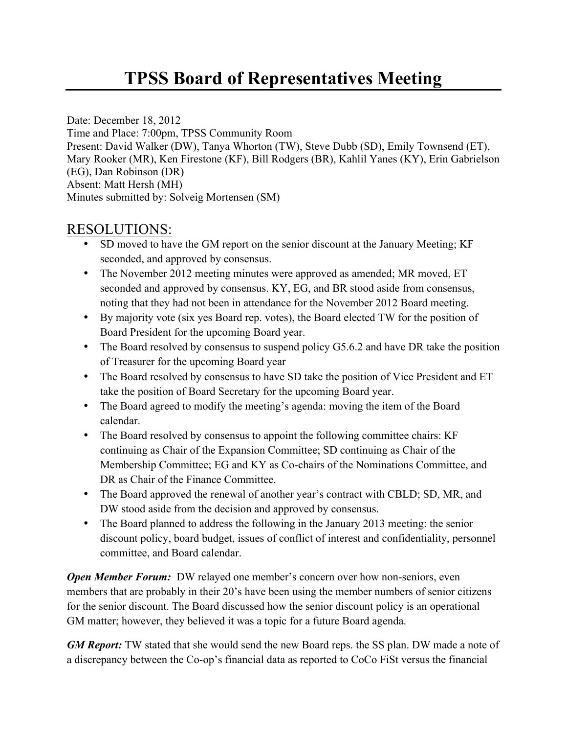Date: December 18, 2012 Time and Place: 7:00pm, TPSS Community Room Present: David Walker (DW), Tanya Whorton (TW), Steve Dubb (SD), Emily Townsend (ET), Mary Rooker (MR), Ken Firestone (KF), Bill Rodgers (BR), Kahlil Yanes (KY), Erin Gabrielson (EG), Dan Robinson (DR) Absent: Matt Hersh (MH) Minutes submitted by: Solveig Mortensen (SM)

## RESOLUTIONS:

- SD moved to have the GM report on the senior discount at the January Meeting; KF seconded, and approved by consensus.
- The November 2012 meeting minutes were approved as amended; MR moved, ET seconded and approved by consensus. KY, EG, and BR stood aside from consensus, noting that they had not been in attendance for the November 2012 Board meeting.
- By majority vote (six yes Board rep. votes), the Board elected TW for the position of Board President for the upcoming Board year.
- The Board resolved by consensus to suspend policy G5.6.2 and have DR take the position of Treasurer for the upcoming Board year
- The Board resolved by consensus to have SD take the position of Vice President and ET take the position of Board Secretary for the upcoming Board year.
- The Board agreed to modify the meeting's agenda: moving the item of the Board calendar.
- The Board resolved by consensus to appoint the following committee chairs: KF continuing as Chair of the Expansion Committee; SD continuing as Chair of the Membership Committee; EG and KY as Co-chairs of the Nominations Committee, and DR as Chair of the Finance Committee.
- The Board approved the renewal of another year's contract with CBLD; SD, MR, and DW stood aside from the decision and approved by consensus.
- The Board planned to address the following in the January 2013 meeting: the senior discount policy, board budget, issues of conflict of interest and confidentiality, personnel committee, and Board calendar.

*Open Member Forum:* DW relayed one member's concern over how non-seniors, even members that are probably in their 20's have been using the member numbers of senior citizens for the senior discount. The Board discussed how the senior discount policy is an operational GM matter; however, they believed it was a topic for a future Board agenda.

*GM Report:* TW stated that she would send the new Board reps. the SS plan. DW made a note of a discrepancy between the Co-op's financial data as reported to CoCo FiSt versus the financial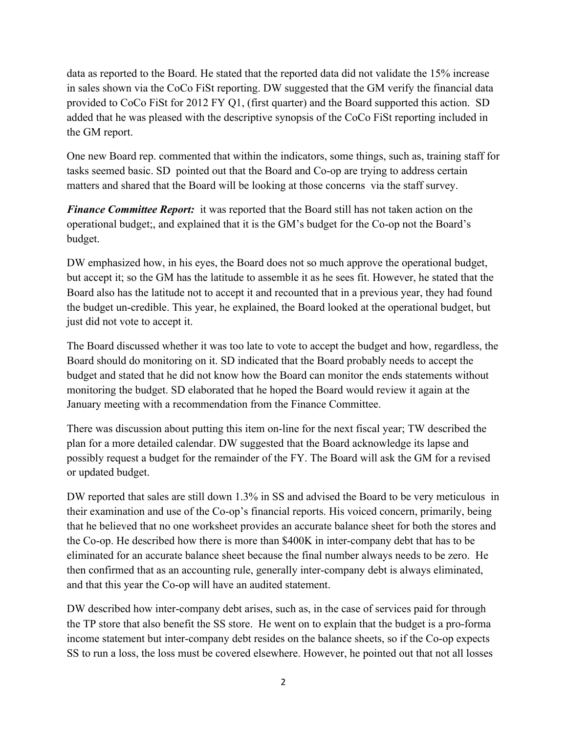data as reported to the Board. He stated that the reported data did not validate the 15% increase in sales shown via the CoCo FiSt reporting. DW suggested that the GM verify the financial data provided to CoCo FiSt for 2012 FY Q1, (first quarter) and the Board supported this action. SD added that he was pleased with the descriptive synopsis of the CoCo FiSt reporting included in the GM report.

One new Board rep. commented that within the indicators, some things, such as, training staff for tasks seemed basic. SD pointed out that the Board and Co-op are trying to address certain matters and shared that the Board will be looking at those concerns via the staff survey.

*Finance Committee Report:* it was reported that the Board still has not taken action on the operational budget;, and explained that it is the GM's budget for the Co-op not the Board's budget.

DW emphasized how, in his eyes, the Board does not so much approve the operational budget, but accept it; so the GM has the latitude to assemble it as he sees fit. However, he stated that the Board also has the latitude not to accept it and recounted that in a previous year, they had found the budget un-credible. This year, he explained, the Board looked at the operational budget, but just did not vote to accept it.

The Board discussed whether it was too late to vote to accept the budget and how, regardless, the Board should do monitoring on it. SD indicated that the Board probably needs to accept the budget and stated that he did not know how the Board can monitor the ends statements without monitoring the budget. SD elaborated that he hoped the Board would review it again at the January meeting with a recommendation from the Finance Committee.

There was discussion about putting this item on-line for the next fiscal year; TW described the plan for a more detailed calendar. DW suggested that the Board acknowledge its lapse and possibly request a budget for the remainder of the FY. The Board will ask the GM for a revised or updated budget.

DW reported that sales are still down 1.3% in SS and advised the Board to be very meticulous in their examination and use of the Co-op's financial reports. His voiced concern, primarily, being that he believed that no one worksheet provides an accurate balance sheet for both the stores and the Co-op. He described how there is more than \$400K in inter-company debt that has to be eliminated for an accurate balance sheet because the final number always needs to be zero. He then confirmed that as an accounting rule, generally inter-company debt is always eliminated, and that this year the Co-op will have an audited statement.

DW described how inter-company debt arises, such as, in the case of services paid for through the TP store that also benefit the SS store. He went on to explain that the budget is a pro-forma income statement but inter-company debt resides on the balance sheets, so if the Co-op expects SS to run a loss, the loss must be covered elsewhere. However, he pointed out that not all losses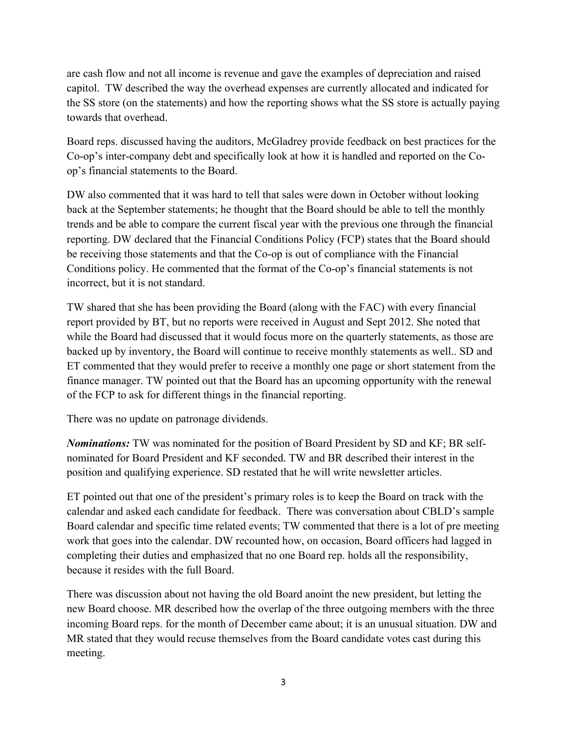are cash flow and not all income is revenue and gave the examples of depreciation and raised capitol. TW described the way the overhead expenses are currently allocated and indicated for the SS store (on the statements) and how the reporting shows what the SS store is actually paying towards that overhead.

Board reps. discussed having the auditors, McGladrey provide feedback on best practices for the Co-op's inter-company debt and specifically look at how it is handled and reported on the Coop's financial statements to the Board.

DW also commented that it was hard to tell that sales were down in October without looking back at the September statements; he thought that the Board should be able to tell the monthly trends and be able to compare the current fiscal year with the previous one through the financial reporting. DW declared that the Financial Conditions Policy (FCP) states that the Board should be receiving those statements and that the Co-op is out of compliance with the Financial Conditions policy. He commented that the format of the Co-op's financial statements is not incorrect, but it is not standard.

TW shared that she has been providing the Board (along with the FAC) with every financial report provided by BT, but no reports were received in August and Sept 2012. She noted that while the Board had discussed that it would focus more on the quarterly statements, as those are backed up by inventory, the Board will continue to receive monthly statements as well.. SD and ET commented that they would prefer to receive a monthly one page or short statement from the finance manager. TW pointed out that the Board has an upcoming opportunity with the renewal of the FCP to ask for different things in the financial reporting.

There was no update on patronage dividends.

*Nominations:* TW was nominated for the position of Board President by SD and KF; BR selfnominated for Board President and KF seconded. TW and BR described their interest in the position and qualifying experience. SD restated that he will write newsletter articles.

ET pointed out that one of the president's primary roles is to keep the Board on track with the calendar and asked each candidate for feedback. There was conversation about CBLD's sample Board calendar and specific time related events; TW commented that there is a lot of pre meeting work that goes into the calendar. DW recounted how, on occasion, Board officers had lagged in completing their duties and emphasized that no one Board rep. holds all the responsibility, because it resides with the full Board.

There was discussion about not having the old Board anoint the new president, but letting the new Board choose. MR described how the overlap of the three outgoing members with the three incoming Board reps. for the month of December came about; it is an unusual situation. DW and MR stated that they would recuse themselves from the Board candidate votes cast during this meeting.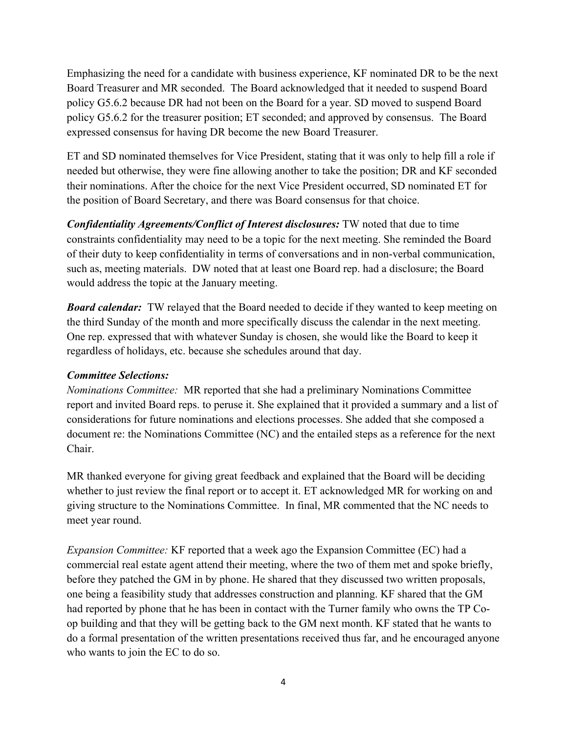Emphasizing the need for a candidate with business experience, KF nominated DR to be the next Board Treasurer and MR seconded. The Board acknowledged that it needed to suspend Board policy G5.6.2 because DR had not been on the Board for a year. SD moved to suspend Board policy G5.6.2 for the treasurer position; ET seconded; and approved by consensus. The Board expressed consensus for having DR become the new Board Treasurer.

ET and SD nominated themselves for Vice President, stating that it was only to help fill a role if needed but otherwise, they were fine allowing another to take the position; DR and KF seconded their nominations. After the choice for the next Vice President occurred, SD nominated ET for the position of Board Secretary, and there was Board consensus for that choice.

*Confidentiality Agreements/Conflict of Interest disclosures:* TW noted that due to time constraints confidentiality may need to be a topic for the next meeting. She reminded the Board of their duty to keep confidentiality in terms of conversations and in non-verbal communication, such as, meeting materials. DW noted that at least one Board rep. had a disclosure; the Board would address the topic at the January meeting.

*Board calendar:* TW relayed that the Board needed to decide if they wanted to keep meeting on the third Sunday of the month and more specifically discuss the calendar in the next meeting. One rep. expressed that with whatever Sunday is chosen, she would like the Board to keep it regardless of holidays, etc. because she schedules around that day.

## *Committee Selections:*

*Nominations Committee:* MR reported that she had a preliminary Nominations Committee report and invited Board reps. to peruse it. She explained that it provided a summary and a list of considerations for future nominations and elections processes. She added that she composed a document re: the Nominations Committee (NC) and the entailed steps as a reference for the next Chair.

MR thanked everyone for giving great feedback and explained that the Board will be deciding whether to just review the final report or to accept it. ET acknowledged MR for working on and giving structure to the Nominations Committee. In final, MR commented that the NC needs to meet year round.

*Expansion Committee:* KF reported that a week ago the Expansion Committee (EC) had a commercial real estate agent attend their meeting, where the two of them met and spoke briefly, before they patched the GM in by phone. He shared that they discussed two written proposals, one being a feasibility study that addresses construction and planning. KF shared that the GM had reported by phone that he has been in contact with the Turner family who owns the TP Coop building and that they will be getting back to the GM next month. KF stated that he wants to do a formal presentation of the written presentations received thus far, and he encouraged anyone who wants to join the EC to do so.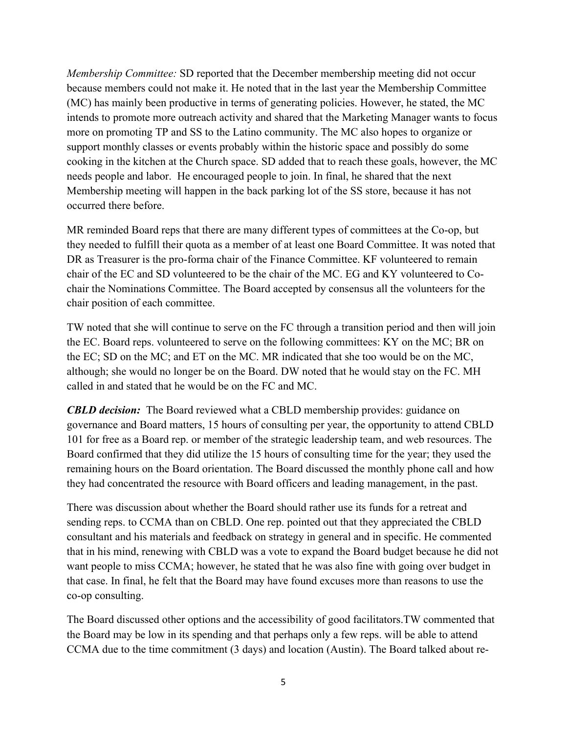*Membership Committee:* SD reported that the December membership meeting did not occur because members could not make it. He noted that in the last year the Membership Committee (MC) has mainly been productive in terms of generating policies. However, he stated, the MC intends to promote more outreach activity and shared that the Marketing Manager wants to focus more on promoting TP and SS to the Latino community. The MC also hopes to organize or support monthly classes or events probably within the historic space and possibly do some cooking in the kitchen at the Church space. SD added that to reach these goals, however, the MC needs people and labor. He encouraged people to join. In final, he shared that the next Membership meeting will happen in the back parking lot of the SS store, because it has not occurred there before.

MR reminded Board reps that there are many different types of committees at the Co-op, but they needed to fulfill their quota as a member of at least one Board Committee. It was noted that DR as Treasurer is the pro-forma chair of the Finance Committee. KF volunteered to remain chair of the EC and SD volunteered to be the chair of the MC. EG and KY volunteered to Cochair the Nominations Committee. The Board accepted by consensus all the volunteers for the chair position of each committee.

TW noted that she will continue to serve on the FC through a transition period and then will join the EC. Board reps. volunteered to serve on the following committees: KY on the MC; BR on the EC; SD on the MC; and ET on the MC. MR indicated that she too would be on the MC, although; she would no longer be on the Board. DW noted that he would stay on the FC. MH called in and stated that he would be on the FC and MC.

*CBLD decision:* The Board reviewed what a CBLD membership provides: guidance on governance and Board matters, 15 hours of consulting per year, the opportunity to attend CBLD 101 for free as a Board rep. or member of the strategic leadership team, and web resources. The Board confirmed that they did utilize the 15 hours of consulting time for the year; they used the remaining hours on the Board orientation. The Board discussed the monthly phone call and how they had concentrated the resource with Board officers and leading management, in the past.

There was discussion about whether the Board should rather use its funds for a retreat and sending reps. to CCMA than on CBLD. One rep. pointed out that they appreciated the CBLD consultant and his materials and feedback on strategy in general and in specific. He commented that in his mind, renewing with CBLD was a vote to expand the Board budget because he did not want people to miss CCMA; however, he stated that he was also fine with going over budget in that case. In final, he felt that the Board may have found excuses more than reasons to use the co-op consulting.

The Board discussed other options and the accessibility of good facilitators.TW commented that the Board may be low in its spending and that perhaps only a few reps. will be able to attend CCMA due to the time commitment (3 days) and location (Austin). The Board talked about re